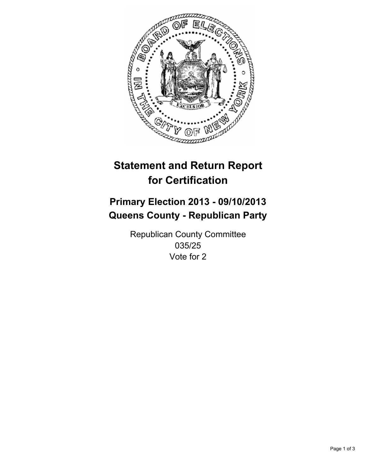

# **Statement and Return Report for Certification**

# **Primary Election 2013 - 09/10/2013 Queens County - Republican Party**

Republican County Committee 035/25 Vote for 2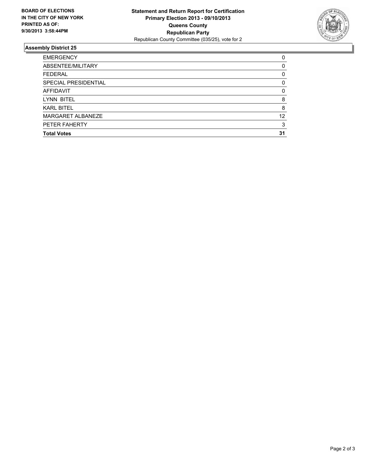

## **Assembly District 25**

| 0        |
|----------|
| 0        |
| 0        |
| 0        |
| $\Omega$ |
| 8        |
| 8        |
| 12       |
| 3        |
| 31       |
|          |